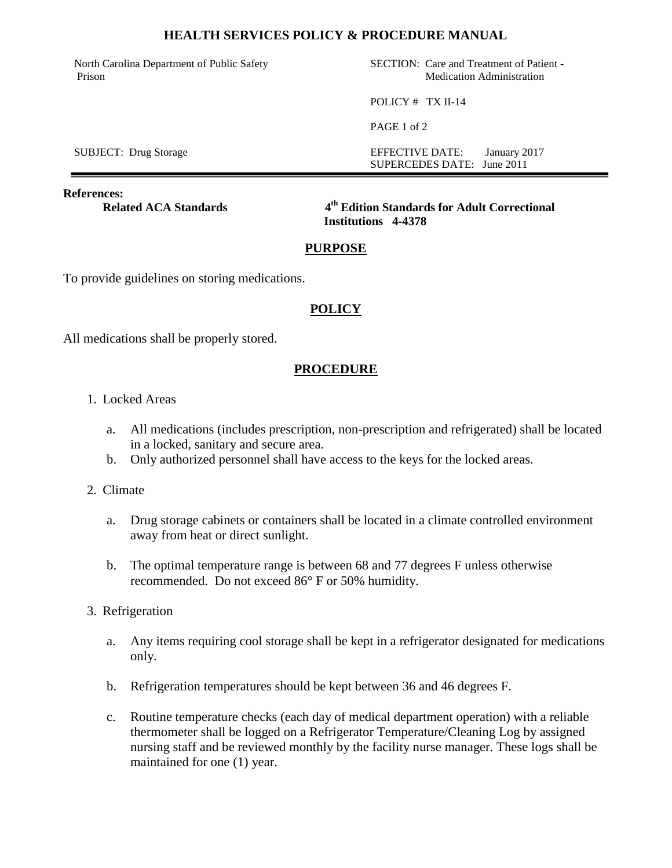#### **HEALTH SERVICES POLICY & PROCEDURE MANUAL**

North Carolina Department of Public Safety Prison

SECTION: Care and Treatment of Patient - Medication Administration

POLICY # TX II-14

PAGE 1 of 2

SUBJECT: Drug Storage EFFECTIVE DATE: January 2017 SUPERCEDES DATE: June 2011

**References:**

**Related ACA Standards** 

**th Edition Standards for Adult Correctional Institutions 4-4378**

# **PURPOSE**

To provide guidelines on storing medications.

# **POLICY**

All medications shall be properly stored.

### **PROCEDURE**

- 1. Locked Areas
	- a. All medications (includes prescription, non-prescription and refrigerated) shall be located in a locked, sanitary and secure area.
	- b. Only authorized personnel shall have access to the keys for the locked areas.
- 2. Climate
	- a. Drug storage cabinets or containers shall be located in a climate controlled environment away from heat or direct sunlight.
	- b. The optimal temperature range is between 68 and 77 degrees F unless otherwise recommended. Do not exceed 86° F or 50% humidity.
- 3. Refrigeration
	- a. Any items requiring cool storage shall be kept in a refrigerator designated for medications only.
	- b. Refrigeration temperatures should be kept between 36 and 46 degrees F.
	- c. Routine temperature checks (each day of medical department operation) with a reliable thermometer shall be logged on a Refrigerator Temperature/Cleaning Log by assigned nursing staff and be reviewed monthly by the facility nurse manager. These logs shall be maintained for one (1) year.